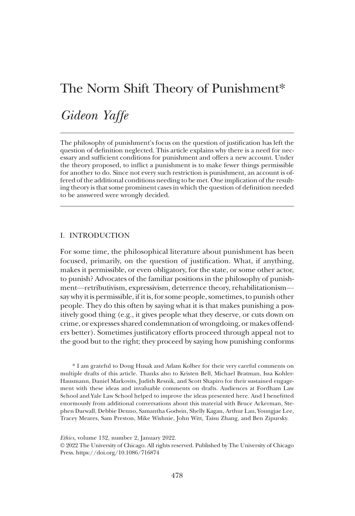# Gideon Yaffe

The philosophy of punishment's focus on the question of justification has left the question of definition neglected. This article explains why there is a need for necessary and sufficient conditions for punishment and offers a new account. Under the theory proposed, to inflict a punishment is to make fewer things permissible for another to do. Since not every such restriction is punishment, an account is offered of the additional conditions needing to be met. One implication of the resulting theory is that some prominent cases in which the question of definition needed to be answered were wrongly decided.

# I. INTRODUCTION

For some time, the philosophical literature about punishment has been focused, primarily, on the question of justification. What, if anything, makes it permissible, or even obligatory, for the state, or some other actor, to punish? Advocates of the familiar positions in the philosophy of punishment—retributivism, expressivism, deterrence theory, rehabilitationism say why it is permissible, if it is, for some people, sometimes, to punish other people. They do this often by saying what it is that makes punishing a positively good thing (e.g., it gives people what they deserve, or cuts down on crime, or expresses shared condemnation of wrongdoing, or makes offenders better). Sometimes justificatory efforts proceed through appeal not to the good but to the right; they proceed by saying how punishing conforms

\* I am grateful to Doug Husak and Adam Kolber for their very careful comments on multiple drafts of this article. Thanks also to Kristen Bell, Michael Bratman, Issa Kohler-Hausmann, Daniel Markovits, Judith Resnik, and Scott Shapiro for their sustained engagement with these ideas and invaluable comments on drafts. Audiences at Fordham Law School and Yale Law School helped to improve the ideas presented here. And I benefitted enormously from additional conversations about this material with Bruce Ackerman, Stephen Darwall, Debbie Denno, Samantha Godwin, Shelly Kagan, Arthur Lau, Youngjae Lee, Tracey Meares, Sam Preston, Mike Wishnie, John Witt, Taisu Zhang, and Ben Zipursky.

Ethics, volume 132, number 2, January 2022.

© 2022 The University of Chicago. All rights reserved. Published by The University of Chicago Press. https://doi.org/10.1086/716874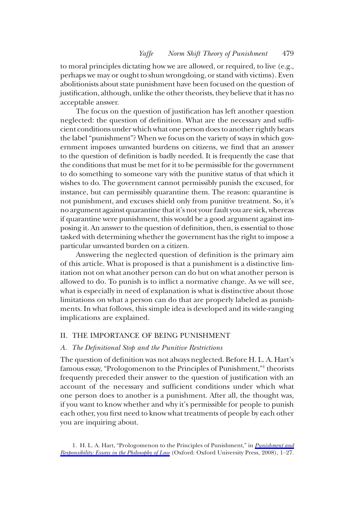to moral principles dictating how we are allowed, or required, to live (e.g., perhaps we may or ought to shun wrongdoing, or stand with victims). Even abolitionists about state punishment have been focused on the question of justification, although, unlike the other theorists, they believe that it has no acceptable answer.

The focus on the question of justification has left another question neglected: the question of definition. What are the necessary and sufficient conditions under which what one person does to another rightly bears the label"punishment"? When we focus on the variety of ways in which government imposes unwanted burdens on citizens, we find that an answer to the question of definition is badly needed. It is frequently the case that the conditions that must be met for it to be permissible for the government to do something to someone vary with the punitive status of that which it wishes to do. The government cannot permissibly punish the excused, for instance, but can permissibly quarantine them. The reason: quarantine is not punishment, and excuses shield only from punitive treatment. So, it's no argument against quarantine that it's not your fault you are sick, whereas if quarantine were punishment, this would be a good argument against imposing it. An answer to the question of definition, then, is essential to those tasked with determining whether the government has the right to impose a particular unwanted burden on a citizen.

Answering the neglected question of definition is the primary aim of this article. What is proposed is that a punishment is a distinctive limitation not on what another person can do but on what another person is allowed to do. To punish is to inflict a normative change. As we will see, what is especially in need of explanation is what is distinctive about those limitations on what a person can do that are properly labeled as punishments. In what follows, this simple idea is developed and its wide-ranging implications are explained.

# II. THE IMPORTANCE OF BEING PUNISHMENT

# A. The Definitional Stop and the Punitive Restrictions

The question of definition was not always neglected. Before H. L. A. Hart's famous essay, "Prologomenon to the Principles of Punishment,"<sup>1</sup> theorists frequently preceded their answer to the question of justification with an account of the necessary and sufficient conditions under which what one person does to another is a punishment. After all, the thought was, if you want to know whether and why it's permissible for people to punish each other, you first need to know what treatments of people by each other you are inquiring about.

1. H. L. A. Hart, "Prologomenon to the Principles of Punishment," in [Punishment and](https://www.journals.uchicago.edu/action/showLinks?crossref=10.1093%2Facprof%3Aoso%2F9780199534777.003.0001&citationId=p_n_1) [Responsibility: Essays in the Philosophy of Law](https://www.journals.uchicago.edu/action/showLinks?crossref=10.1093%2Facprof%3Aoso%2F9780199534777.003.0001&citationId=p_n_1) (Oxford: Oxford University Press, 2008), 1-27.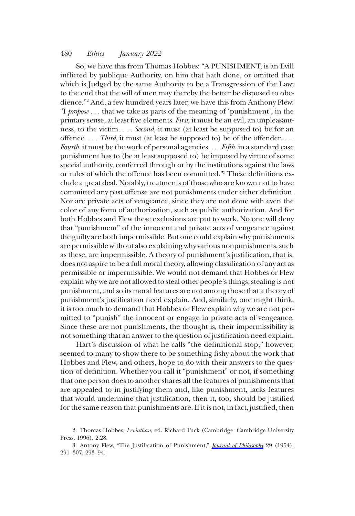So, we have this from Thomas Hobbes: "A PUNISHMENT, is an Evill inflicted by publique Authority, on him that hath done, or omitted that which is Judged by the same Authority to be a Transgression of the Law; to the end that the will of men may thereby the better be disposed to obedience."<sup>2</sup> And, a few hundred years later, we have this from Anthony Flew: "I propose ... that we take as parts of the meaning of 'punishment', in the primary sense, at least five elements. First, it must be an evil, an unpleasantness, to the victim... Second, it must (at least be supposed to) be for an offence... Third, it must (at least be supposed to) be of the offender.... Fourth, it must be the work of personal agencies... . Fifth, in a standard case punishment has to (be at least supposed to) be imposed by virtue of some special authority, conferred through or by the institutions against the laws or rules of which the offence has been committed."<sup>3</sup> These definitions exclude a great deal. Notably, treatments of those who are known not to have committed any past offense are not punishments under either definition. Nor are private acts of vengeance, since they are not done with even the color of any form of authorization, such as public authorization. And for both Hobbes and Flew these exclusions are put to work. No one will deny that "punishment" of the innocent and private acts of vengeance against the guilty are both impermissible. But one could explain why punishments are permissible without also explaining why various nonpunishments, such as these, are impermissible. A theory of punishment's justification, that is, does not aspire to be a full moral theory, allowing classification of any act as permissible or impermissible. We would not demand that Hobbes or Flew explain why we are not allowed to steal other people's things; stealing is not punishment, and so its moral features are not among those that a theory of punishment's justification need explain. And, similarly, one might think, it is too much to demand that Hobbes or Flew explain why we are not permitted to "punish" the innocent or engage in private acts of vengeance. Since these are not punishments, the thought is, their impermissibility is not something that an answer to the question of justification need explain.

Hart's discussion of what he calls "the definitional stop," however, seemed to many to show there to be something fishy about the work that Hobbes and Flew, and others, hope to do with their answers to the question of definition. Whether you call it "punishment" or not, if something that one person does to another shares all the features of punishments that are appealed to in justifying them and, like punishment, lacks features that would undermine that justification, then it, too, should be justified for the same reason that punishments are. If it is not, in fact, justified, then

<sup>2.</sup> Thomas Hobbes, Leviathan, ed. Richard Tuck (Cambridge: Cambridge University Press, 1996), 2.28.

<sup>3.</sup> Antony Flew, "The Justification of Punishment," [Journal of Philosophy](https://www.journals.uchicago.edu/action/showLinks?crossref=10.1017%2FS0031819100067152&citationId=p_n_3) 29 (1954): 291–307, 293–94.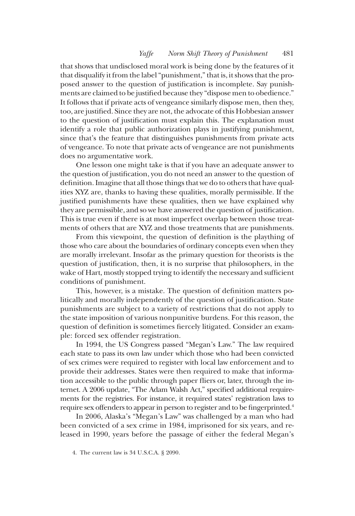that shows that undisclosed moral work is being done by the features of it that disqualify it from the label "punishment," that is, it shows that the proposed answer to the question of justification is incomplete. Say punishments are claimed to be justified because they "dispose men to obedience." It follows that if private acts of vengeance similarly dispose men, then they, too, are justified. Since they are not, the advocate of this Hobbesian answer to the question of justification must explain this. The explanation must identify a role that public authorization plays in justifying punishment, since that's the feature that distinguishes punishments from private acts of vengeance. To note that private acts of vengeance are not punishments does no argumentative work.

One lesson one might take is that if you have an adequate answer to the question of justification, you do not need an answer to the question of definition. Imagine that all those things that we do to others that have qualities XYZ are, thanks to having these qualities, morally permissible. If the justified punishments have these qualities, then we have explained why they are permissible, and so we have answered the question of justification. This is true even if there is at most imperfect overlap between those treatments of others that are XYZ and those treatments that are punishments.

From this viewpoint, the question of definition is the plaything of those who care about the boundaries of ordinary concepts even when they are morally irrelevant. Insofar as the primary question for theorists is the question of justification, then, it is no surprise that philosophers, in the wake of Hart, mostly stopped trying to identify the necessary and sufficient conditions of punishment.

This, however, is a mistake. The question of definition matters politically and morally independently of the question of justification. State punishments are subject to a variety of restrictions that do not apply to the state imposition of various nonpunitive burdens. For this reason, the question of definition is sometimes fiercely litigated. Consider an example: forced sex offender registration.

In 1994, the US Congress passed "Megan's Law." The law required each state to pass its own law under which those who had been convicted of sex crimes were required to register with local law enforcement and to provide their addresses. States were then required to make that information accessible to the public through paper fliers or, later, through the internet. A 2006 update, "The Adam Walsh Act," specified additional requirements for the registries. For instance, it required states' registration laws to require sex offenders to appear in person to register and to be fingerprinted.<sup>4</sup>

In 2006, Alaska's "Megan's Law" was challenged by a man who had been convicted of a sex crime in 1984, imprisoned for six years, and released in 1990, years before the passage of either the federal Megan's

<sup>4.</sup> The current law is 34 U.S.C.A. § 2090.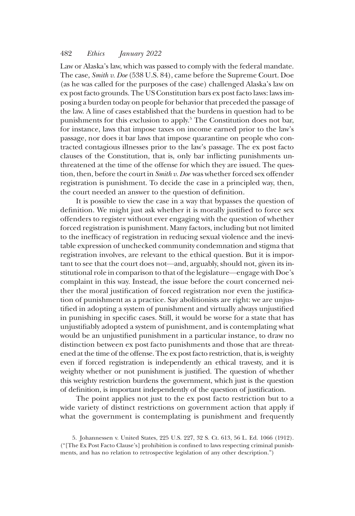Law or Alaska's law, which was passed to comply with the federal mandate. The case, Smith v. Doe (538 U.S. 84), came before the Supreme Court. Doe (as he was called for the purposes of the case) challenged Alaska's law on ex post facto grounds. The US Constitution bars ex post facto laws: laws imposing a burden today on people for behavior that preceded the passage of the law. A line of cases established that the burdens in question had to be punishments for this exclusion to apply.5 The Constitution does not bar, for instance, laws that impose taxes on income earned prior to the law's passage, nor does it bar laws that impose quarantine on people who contracted contagious illnesses prior to the law's passage. The ex post facto clauses of the Constitution, that is, only bar inflicting punishments unthreatened at the time of the offense for which they are issued. The question, then, before the court in Smith v. Doe was whether forced sex offender registration is punishment. To decide the case in a principled way, then, the court needed an answer to the question of definition.

It is possible to view the case in a way that bypasses the question of definition. We might just ask whether it is morally justified to force sex offenders to register without ever engaging with the question of whether forced registration is punishment. Many factors, including but not limited to the inefficacy of registration in reducing sexual violence and the inevitable expression of unchecked community condemnation and stigma that registration involves, are relevant to the ethical question. But it is important to see that the court does not—and, arguably, should not, given its institutional role in comparison to that of the legislature—engage with Doe's complaint in this way. Instead, the issue before the court concerned neither the moral justification of forced registration nor even the justification of punishment as a practice. Say abolitionists are right: we are unjustified in adopting a system of punishment and virtually always unjustified in punishing in specific cases. Still, it would be worse for a state that has unjustifiably adopted a system of punishment, and is contemplating what would be an unjustified punishment in a particular instance, to draw no distinction between ex post facto punishments and those that are threatened at the time of the offense. The ex post facto restriction, that is, is weighty even if forced registration is independently an ethical travesty, and it is weighty whether or not punishment is justified. The question of whether this weighty restriction burdens the government, which just is the question of definition, is important independently of the question of justification.

The point applies not just to the ex post facto restriction but to a wide variety of distinct restrictions on government action that apply if what the government is contemplating is punishment and frequently

<sup>5.</sup> Johannessen v. United States, 225 U.S. 227, 32 S. Ct. 613, 56 L. Ed. 1066 (1912). ("[The Ex Post Facto Clause's] prohibition is confined to laws respecting criminal punishments, and has no relation to retrospective legislation of any other description.")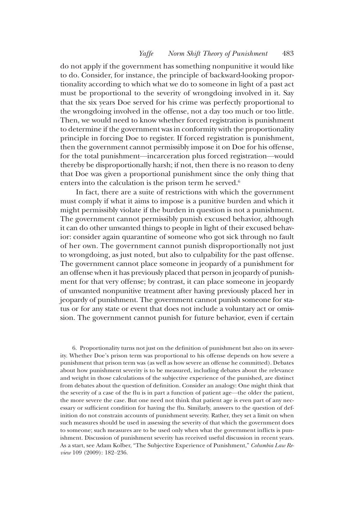do not apply if the government has something nonpunitive it would like to do. Consider, for instance, the principle of backward-looking proportionality according to which what we do to someone in light of a past act must be proportional to the severity of wrongdoing involved in it. Say that the six years Doe served for his crime was perfectly proportional to the wrongdoing involved in the offense, not a day too much or too little. Then, we would need to know whether forced registration is punishment to determine if the government was in conformity with the proportionality principle in forcing Doe to register. If forced registration is punishment, then the government cannot permissibly impose it on Doe for his offense, for the total punishment—incarceration plus forced registration—would thereby be disproportionally harsh; if not, then there is no reason to deny that Doe was given a proportional punishment since the only thing that enters into the calculation is the prison term he served.<sup>6</sup>

In fact, there are a suite of restrictions with which the government must comply if what it aims to impose is a punitive burden and which it might permissibly violate if the burden in question is not a punishment. The government cannot permissibly punish excused behavior, although it can do other unwanted things to people in light of their excused behavior: consider again quarantine of someone who got sick through no fault of her own. The government cannot punish disproportionally not just to wrongdoing, as just noted, but also to culpability for the past offense. The government cannot place someone in jeopardy of a punishment for an offense when it has previously placed that person in jeopardy of punishment for that very offense; by contrast, it can place someone in jeopardy of unwanted nonpunitive treatment after having previously placed her in jeopardy of punishment. The government cannot punish someone for status or for any state or event that does not include a voluntary act or omission. The government cannot punish for future behavior, even if certain

6. Proportionality turns not just on the definition of punishment but also on its severity. Whether Doe's prison term was proportional to his offense depends on how severe a punishment that prison term was (as well as how severe an offense he committed). Debates about how punishment severity is to be measured, including debates about the relevance and weight in those calculations of the subjective experience of the punished, are distinct from debates about the question of definition. Consider an analogy: One might think that the severity of a case of the flu is in part a function of patient age—the older the patient, the more severe the case. But one need not think that patient age is even part of any necessary or sufficient condition for having the flu. Similarly, answers to the question of definition do not constrain accounts of punishment severity. Rather, they set a limit on when such measures should be used in assessing the severity of that which the government does to someone; such measures are to be used only when what the government inflicts is punishment. Discussion of punishment severity has received useful discussion in recent years. As a start, see Adam Kolber, "The Subjective Experience of Punishment," Columbia Law Review 109 (2009): 182–236.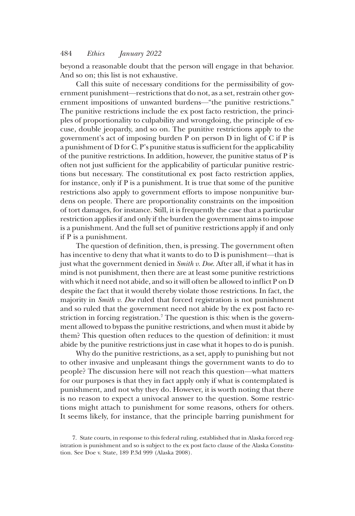beyond a reasonable doubt that the person will engage in that behavior. And so on; this list is not exhaustive.

Call this suite of necessary conditions for the permissibility of government punishment—restrictions that do not, as a set, restrain other government impositions of unwanted burdens—"the punitive restrictions." The punitive restrictions include the ex post facto restriction, the principles of proportionality to culpability and wrongdoing, the principle of excuse, double jeopardy, and so on. The punitive restrictions apply to the government's act of imposing burden P on person D in light of C if P is a punishment of D for C. P's punitive status is sufficient for the applicability of the punitive restrictions. In addition, however, the punitive status of P is often not just sufficient for the applicability of particular punitive restrictions but necessary. The constitutional ex post facto restriction applies, for instance, only if P is a punishment. It is true that some of the punitive restrictions also apply to government efforts to impose nonpunitive burdens on people. There are proportionality constraints on the imposition of tort damages, for instance. Still, it is frequently the case that a particular restriction applies if and only if the burden the government aims to impose is a punishment. And the full set of punitive restrictions apply if and only if P is a punishment.

The question of definition, then, is pressing. The government often has incentive to deny that what it wants to do to D is punishment—that is just what the government denied in Smith v. Doe. After all, if what it has in mind is not punishment, then there are at least some punitive restrictions with which it need not abide, and so it will often be allowed to inflict P on D despite the fact that it would thereby violate those restrictions. In fact, the majority in Smith v. Doe ruled that forced registration is not punishment and so ruled that the government need not abide by the ex post facto restriction in forcing registration.<sup>7</sup> The question is this: when is the government allowed to bypass the punitive restrictions, and when must it abide by them? This question often reduces to the question of definition: it must abide by the punitive restrictions just in case what it hopes to do is punish.

Why do the punitive restrictions, as a set, apply to punishing but not to other invasive and unpleasant things the government wants to do to people? The discussion here will not reach this question—what matters for our purposes is that they in fact apply only if what is contemplated is punishment, and not why they do. However, it is worth noting that there is no reason to expect a univocal answer to the question. Some restrictions might attach to punishment for some reasons, others for others. It seems likely, for instance, that the principle barring punishment for

<sup>7.</sup> State courts, in response to this federal ruling, established that in Alaska forced registration is punishment and so is subject to the ex post facto clause of the Alaska Constitution. See Doe v. State, 189 P.3d 999 (Alaska 2008).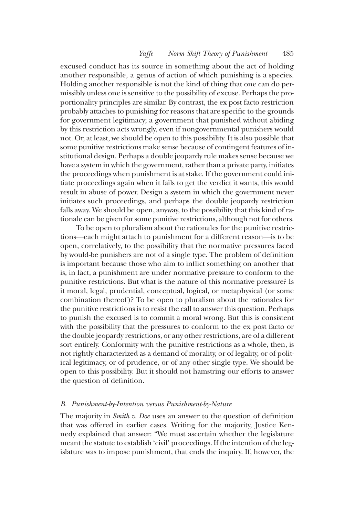excused conduct has its source in something about the act of holding another responsible, a genus of action of which punishing is a species. Holding another responsible is not the kind of thing that one can do permissibly unless one is sensitive to the possibility of excuse. Perhaps the proportionality principles are similar. By contrast, the ex post facto restriction probably attaches to punishing for reasons that are specific to the grounds for government legitimacy; a government that punished without abiding by this restriction acts wrongly, even if nongovernmental punishers would not. Or, at least, we should be open to this possibility. It is also possible that some punitive restrictions make sense because of contingent features of institutional design. Perhaps a double jeopardy rule makes sense because we have a system in which the government, rather than a private party, initiates the proceedings when punishment is at stake. If the government could initiate proceedings again when it fails to get the verdict it wants, this would result in abuse of power. Design a system in which the government never initiates such proceedings, and perhaps the double jeopardy restriction falls away. We should be open, anyway, to the possibility that this kind of rationale can be given for some punitive restrictions, although not for others.

To be open to pluralism about the rationales for the punitive restrictions—each might attach to punishment for a different reason—is to be open, correlatively, to the possibility that the normative pressures faced by would-be punishers are not of a single type. The problem of definition is important because those who aim to inflict something on another that is, in fact, a punishment are under normative pressure to conform to the punitive restrictions. But what is the nature of this normative pressure? Is it moral, legal, prudential, conceptual, logical, or metaphysical (or some combination thereof)? To be open to pluralism about the rationales for the punitive restrictions is to resist the call to answer this question. Perhaps to punish the excused is to commit a moral wrong. But this is consistent with the possibility that the pressures to conform to the ex post facto or the double jeopardy restrictions, or any other restrictions, are of a different sort entirely. Conformity with the punitive restrictions as a whole, then, is not rightly characterized as a demand of morality, or of legality, or of political legitimacy, or of prudence, or of any other single type. We should be open to this possibility. But it should not hamstring our efforts to answer the question of definition.

#### B. Punishment-by-Intention versus Punishment-by-Nature

The majority in *Smith v. Doe* uses an answer to the question of definition that was offered in earlier cases. Writing for the majority, Justice Kennedy explained that answer: "We must ascertain whether the legislature meant the statute to establish 'civil' proceedings. If the intention of the legislature was to impose punishment, that ends the inquiry. If, however, the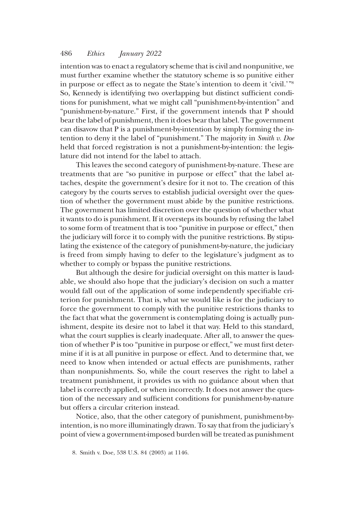intention was to enact a regulatory scheme that is civil and nonpunitive, we must further examine whether the statutory scheme is so punitive either in purpose or effect as to negate the State's intention to deem it 'civil.'"<sup>8</sup> So, Kennedy is identifying two overlapping but distinct sufficient conditions for punishment, what we might call "punishment-by-intention" and "punishment-by-nature." First, if the government intends that P should bear the label of punishment, then it does bear that label. The government can disavow that P is a punishment-by-intention by simply forming the intention to deny it the label of "punishment." The majority in Smith v. Doe held that forced registration is not a punishment-by-intention: the legislature did not intend for the label to attach.

This leaves the second category of punishment-by-nature. These are treatments that are "so punitive in purpose or effect" that the label attaches, despite the government's desire for it not to. The creation of this category by the courts serves to establish judicial oversight over the question of whether the government must abide by the punitive restrictions. The government has limited discretion over the question of whether what it wants to do is punishment. If it oversteps its bounds by refusing the label to some form of treatment that is too "punitive in purpose or effect," then the judiciary will force it to comply with the punitive restrictions. By stipulating the existence of the category of punishment-by-nature, the judiciary is freed from simply having to defer to the legislature's judgment as to whether to comply or bypass the punitive restrictions.

But although the desire for judicial oversight on this matter is laudable, we should also hope that the judiciary's decision on such a matter would fall out of the application of some independently specifiable criterion for punishment. That is, what we would like is for the judiciary to force the government to comply with the punitive restrictions thanks to the fact that what the government is contemplating doing is actually punishment, despite its desire not to label it that way. Held to this standard, what the court supplies is clearly inadequate. After all, to answer the question of whether P is too "punitive in purpose or effect," we must first determine if it is at all punitive in purpose or effect. And to determine that, we need to know when intended or actual effects are punishments, rather than nonpunishments. So, while the court reserves the right to label a treatment punishment, it provides us with no guidance about when that label is correctly applied, or when incorrectly. It does not answer the question of the necessary and sufficient conditions for punishment-by-nature but offers a circular criterion instead.

Notice, also, that the other category of punishment, punishment-byintention, is no more illuminatingly drawn. To say that from the judiciary's point of view a government-imposed burden will be treated as punishment

<sup>8.</sup> Smith v. Doe, 538 U.S. 84 (2003) at 1146.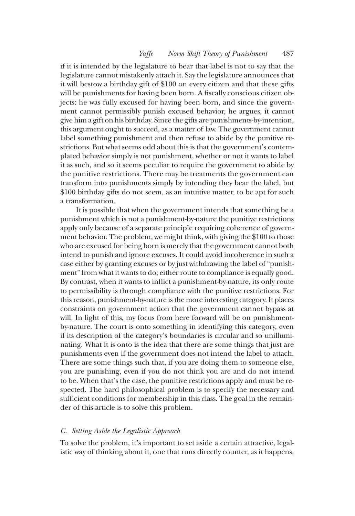if it is intended by the legislature to bear that label is not to say that the legislature cannot mistakenly attach it. Say the legislature announces that it will bestow a birthday gift of \$100 on every citizen and that these gifts will be punishments for having been born. A fiscally conscious citizen objects: he was fully excused for having been born, and since the government cannot permissibly punish excused behavior, he argues, it cannot give him a gift on his birthday. Since the gifts are punishments-by-intention, this argument ought to succeed, as a matter of law. The government cannot label something punishment and then refuse to abide by the punitive restrictions. But what seems odd about this is that the government's contemplated behavior simply is not punishment, whether or not it wants to label it as such, and so it seems peculiar to require the government to abide by the punitive restrictions. There may be treatments the government can transform into punishments simply by intending they bear the label, but \$100 birthday gifts do not seem, as an intuitive matter, to be apt for such a transformation.

It is possible that when the government intends that something be a punishment which is not a punishment-by-nature the punitive restrictions apply only because of a separate principle requiring coherence of government behavior. The problem, we might think, with giving the \$100 to those who are excused for being born is merely that the government cannot both intend to punish and ignore excuses. It could avoid incoherence in such a case either by granting excuses or by just withdrawing the label of"punishment" from what it wants to do; either route to compliance is equally good. By contrast, when it wants to inflict a punishment-by-nature, its only route to permissibility is through compliance with the punitive restrictions. For this reason, punishment-by-nature is the more interesting category. It places constraints on government action that the government cannot bypass at will. In light of this, my focus from here forward will be on punishmentby-nature. The court is onto something in identifying this category, even if its description of the category's boundaries is circular and so unilluminating. What it is onto is the idea that there are some things that just are punishments even if the government does not intend the label to attach. There are some things such that, if you are doing them to someone else, you are punishing, even if you do not think you are and do not intend to be. When that's the case, the punitive restrictions apply and must be respected. The hard philosophical problem is to specify the necessary and sufficient conditions for membership in this class. The goal in the remainder of this article is to solve this problem.

#### C. Setting Aside the Legalistic Approach

To solve the problem, it's important to set aside a certain attractive, legalistic way of thinking about it, one that runs directly counter, as it happens,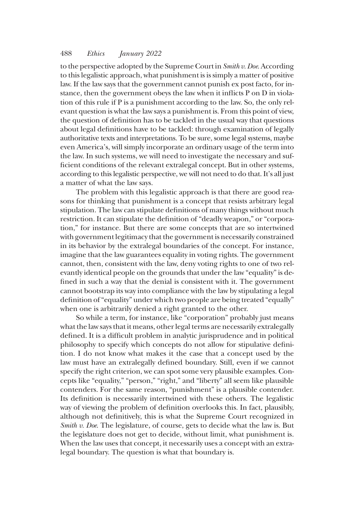to the perspective adopted by the Supreme Court in Smith v. Doe. According to this legalistic approach, what punishment is is simply a matter of positive law. If the law says that the government cannot punish ex post facto, for instance, then the government obeys the law when it inflicts P on D in violation of this rule if P is a punishment according to the law. So, the only relevant question is what the law says a punishment is. From this point of view, the question of definition has to be tackled in the usual way that questions about legal definitions have to be tackled: through examination of legally authoritative texts and interpretations. To be sure, some legal systems, maybe even America's, will simply incorporate an ordinary usage of the term into the law. In such systems, we will need to investigate the necessary and sufficient conditions of the relevant extralegal concept. But in other systems, according to this legalistic perspective, we will not need to do that. It's all just a matter of what the law says.

The problem with this legalistic approach is that there are good reasons for thinking that punishment is a concept that resists arbitrary legal stipulation. The law can stipulate definitions of many things without much restriction. It can stipulate the definition of "deadly weapon," or "corporation," for instance. But there are some concepts that are so intertwined with government legitimacy that the government is necessarily constrained in its behavior by the extralegal boundaries of the concept. For instance, imagine that the law guarantees equality in voting rights. The government cannot, then, consistent with the law, deny voting rights to one of two relevantly identical people on the grounds that under the law "equality"is defined in such a way that the denial is consistent with it. The government cannot bootstrap its way into compliance with the law by stipulating a legal definition of"equality" under which two people are being treated "equally" when one is arbitrarily denied a right granted to the other.

So while a term, for instance, like "corporation" probably just means what the law says that it means, other legal terms are necessarily extralegally defined. It is a difficult problem in analytic jurisprudence and in political philosophy to specify which concepts do not allow for stipulative definition. I do not know what makes it the case that a concept used by the law must have an extralegally defined boundary. Still, even if we cannot specify the right criterion, we can spot some very plausible examples. Concepts like "equality," "person," "right," and "liberty" all seem like plausible contenders. For the same reason, "punishment" is a plausible contender. Its definition is necessarily intertwined with these others. The legalistic way of viewing the problem of definition overlooks this. In fact, plausibly, although not definitively, this is what the Supreme Court recognized in Smith v. Doe. The legislature, of course, gets to decide what the law is. But the legislature does not get to decide, without limit, what punishment is. When the law uses that concept, it necessarily uses a concept with an extralegal boundary. The question is what that boundary is.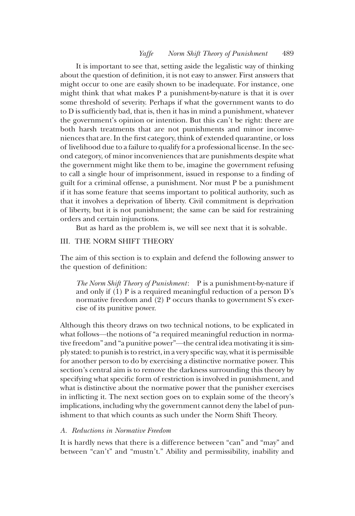It is important to see that, setting aside the legalistic way of thinking about the question of definition, it is not easy to answer. First answers that might occur to one are easily shown to be inadequate. For instance, one might think that what makes P a punishment-by-nature is that it is over some threshold of severity. Perhaps if what the government wants to do to D is sufficiently bad, that is, then it has in mind a punishment, whatever the government's opinion or intention. But this can't be right: there are both harsh treatments that are not punishments and minor inconveniences that are. In the first category, think of extended quarantine, or loss of livelihood due to a failure to qualify for a professional license. In the second category, of minor inconveniences that are punishments despite what the government might like them to be, imagine the government refusing to call a single hour of imprisonment, issued in response to a finding of guilt for a criminal offense, a punishment. Nor must P be a punishment if it has some feature that seems important to political authority, such as that it involves a deprivation of liberty. Civil commitment is deprivation of liberty, but it is not punishment; the same can be said for restraining orders and certain injunctions.

But as hard as the problem is, we will see next that it is solvable.

# III. THE NORM SHIFT THEORY

The aim of this section is to explain and defend the following answer to the question of definition:

The Norm Shift Theory of Punishment: P is a punishment-by-nature if and only if (1) P is a required meaningful reduction of a person D's normative freedom and (2) P occurs thanks to government S's exercise of its punitive power.

Although this theory draws on two technical notions, to be explicated in what follows—the notions of "a required meaningful reduction in normative freedom" and "a punitive power"—the central idea motivating it is simply stated: to punish is to restrict, in a very specific way, what it is permissible for another person to do by exercising a distinctive normative power. This section's central aim is to remove the darkness surrounding this theory by specifying what specific form of restriction is involved in punishment, and what is distinctive about the normative power that the punisher exercises in inflicting it. The next section goes on to explain some of the theory's implications, including why the government cannot deny the label of punishment to that which counts as such under the Norm Shift Theory.

# A. Reductions in Normative Freedom

It is hardly news that there is a difference between "can" and "may" and between "can't" and "mustn't." Ability and permissibility, inability and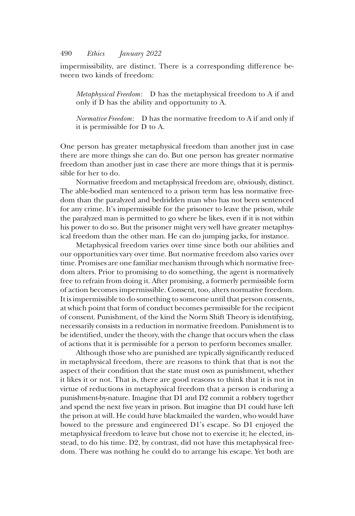impermissibility, are distinct. There is a corresponding difference between two kinds of freedom:

Metaphysical Freedom: D has the metaphysical freedom to A if and only if D has the ability and opportunity to A.

Normative Freedom: D has the normative freedom to A if and only if it is permissible for D to A.

One person has greater metaphysical freedom than another just in case there are more things she can do. But one person has greater normative freedom than another just in case there are more things that it is permissible for her to do.

Normative freedom and metaphysical freedom are, obviously, distinct. The able-bodied man sentenced to a prison term has less normative freedom than the paralyzed and bedridden man who has not been sentenced for any crime. It's impermissible for the prisoner to leave the prison, while the paralyzed man is permitted to go where he likes, even if it is not within his power to do so. But the prisoner might very well have greater metaphysical freedom than the other man. He can do jumping jacks, for instance.

Metaphysical freedom varies over time since both our abilities and our opportunities vary over time. But normative freedom also varies over time. Promises are one familiar mechanism through which normative freedom alters. Prior to promising to do something, the agent is normatively free to refrain from doing it. After promising, a formerly permissible form of action becomes impermissible. Consent, too, alters normative freedom. It is impermissible to do something to someone until that person consents, at which point that form of conduct becomes permissible for the recipient of consent. Punishment, of the kind the Norm Shift Theory is identifying, necessarily consists in a reduction in normative freedom. Punishment is to be identified, under the theory, with the change that occurs when the class of actions that it is permissible for a person to perform becomes smaller.

Although those who are punished are typically significantly reduced in metaphysical freedom, there are reasons to think that that is not the aspect of their condition that the state must own as punishment, whether it likes it or not. That is, there are good reasons to think that it is not in virtue of reductions in metaphysical freedom that a person is enduring a punishment-by-nature. Imagine that D1 and D2 commit a robbery together and spend the next five years in prison. But imagine that D1 could have left the prison at will. He could have blackmailed the warden, who would have bowed to the pressure and engineered D1's escape. So D1 enjoyed the metaphysical freedom to leave but chose not to exercise it; he elected, instead, to do his time. D2, by contrast, did not have this metaphysical freedom. There was nothing he could do to arrange his escape. Yet both are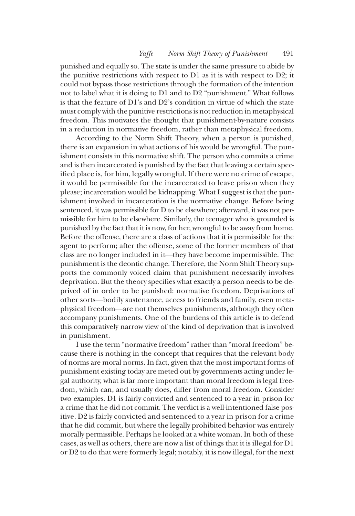punished and equally so. The state is under the same pressure to abide by the punitive restrictions with respect to D1 as it is with respect to D2; it could not bypass those restrictions through the formation of the intention not to label what it is doing to D1 and to D2 "punishment." What follows is that the feature of D1's and D2's condition in virtue of which the state must comply with the punitive restrictions is not reduction in metaphysical freedom. This motivates the thought that punishment-by-nature consists in a reduction in normative freedom, rather than metaphysical freedom.

According to the Norm Shift Theory, when a person is punished, there is an expansion in what actions of his would be wrongful. The punishment consists in this normative shift. The person who commits a crime and is then incarcerated is punished by the fact that leaving a certain specified place is, for him, legally wrongful. If there were no crime of escape, it would be permissible for the incarcerated to leave prison when they please; incarceration would be kidnapping. What I suggest is that the punishment involved in incarceration is the normative change. Before being sentenced, it was permissible for D to be elsewhere; afterward, it was not permissible for him to be elsewhere. Similarly, the teenager who is grounded is punished by the fact that it is now, for her, wrongful to be away from home. Before the offense, there are a class of actions that it is permissible for the agent to perform; after the offense, some of the former members of that class are no longer included in it—they have become impermissible. The punishment is the deontic change. Therefore, the Norm Shift Theory supports the commonly voiced claim that punishment necessarily involves deprivation. But the theory specifies what exactly a person needs to be deprived of in order to be punished: normative freedom. Deprivations of other sorts—bodily sustenance, access to friends and family, even metaphysical freedom—are not themselves punishments, although they often accompany punishments. One of the burdens of this article is to defend this comparatively narrow view of the kind of deprivation that is involved in punishment.

I use the term "normative freedom" rather than "moral freedom" because there is nothing in the concept that requires that the relevant body of norms are moral norms. In fact, given that the most important forms of punishment existing today are meted out by governments acting under legal authority, what is far more important than moral freedom is legal freedom, which can, and usually does, differ from moral freedom. Consider two examples. D1 is fairly convicted and sentenced to a year in prison for a crime that he did not commit. The verdict is a well-intentioned false positive. D2 is fairly convicted and sentenced to a year in prison for a crime that he did commit, but where the legally prohibited behavior was entirely morally permissible. Perhaps he looked at a white woman. In both of these cases, as well as others, there are now a list of things that it is illegal for D1 or D2 to do that were formerly legal; notably, it is now illegal, for the next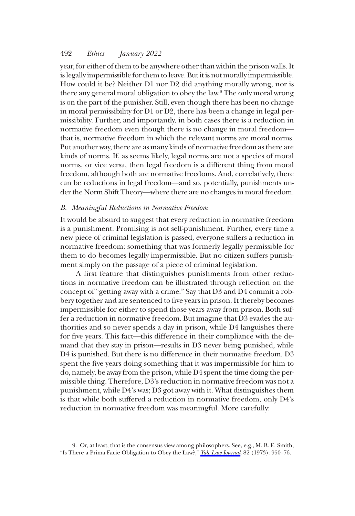year, for either of them to be anywhere other than within the prison walls. It is legally impermissible for them to leave. But it is not morally impermissible. How could it be? Neither D1 nor D2 did anything morally wrong, nor is there any general moral obligation to obey the law.9 The only moral wrong is on the part of the punisher. Still, even though there has been no change in moral permissibility for D1 or D2, there has been a change in legal permissibility. Further, and importantly, in both cases there is a reduction in normative freedom even though there is no change in moral freedom that is, normative freedom in which the relevant norms are moral norms. Put another way, there are as many kinds of normative freedom as there are kinds of norms. If, as seems likely, legal norms are not a species of moral norms, or vice versa, then legal freedom is a different thing from moral freedom, although both are normative freedoms. And, correlatively, there can be reductions in legal freedom—and so, potentially, punishments under the Norm Shift Theory—where there are no changes in moral freedom.

### B. Meaningful Reductions in Normative Freedom

It would be absurd to suggest that every reduction in normative freedom is a punishment. Promising is not self-punishment. Further, every time a new piece of criminal legislation is passed, everyone suffers a reduction in normative freedom: something that was formerly legally permissible for them to do becomes legally impermissible. But no citizen suffers punishment simply on the passage of a piece of criminal legislation.

A first feature that distinguishes punishments from other reductions in normative freedom can be illustrated through reflection on the concept of "getting away with a crime." Say that D3 and D4 commit a robbery together and are sentenced to five years in prison. It thereby becomes impermissible for either to spend those years away from prison. Both suffer a reduction in normative freedom. But imagine that D3 evades the authorities and so never spends a day in prison, while D4 languishes there for five years. This fact—this difference in their compliance with the demand that they stay in prison—results in D3 never being punished, while D4 is punished. But there is no difference in their normative freedom. D3 spent the five years doing something that it was impermissible for him to do, namely, be away from the prison, while D4 spent the time doing the permissible thing. Therefore, D3's reduction in normative freedom was not a punishment, while D4's was; D3 got away with it. What distinguishes them is that while both suffered a reduction in normative freedom, only D4's reduction in normative freedom was meaningful. More carefully:

<sup>9.</sup> Or, at least, that is the consensus view among philosophers. See, e.g., M. B. E. Smith, "Is There a Prima Facie Obligation to Obey the Law?," [Yale Law Journal](https://www.journals.uchicago.edu/action/showLinks?crossref=10.2307%2F795537&citationId=p_n_13), 82 (1973): 950-76.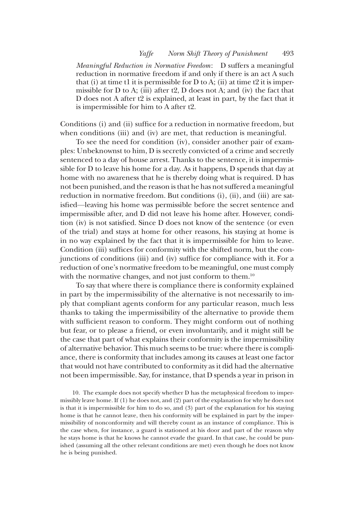Meaningful Reduction in Normative Freedom: D suffers a meaningful reduction in normative freedom if and only if there is an act A such that (i) at time t1 it is permissible for D to A; (ii) at time t2 it is impermissible for  $D$  to  $A$ ; (iii) after t2,  $D$  does not  $A$ ; and (iv) the fact that D does not A after t2 is explained, at least in part, by the fact that it is impermissible for him to A after t2.

Conditions (i) and (ii) suffice for a reduction in normative freedom, but when conditions (iii) and (iv) are met, that reduction is meaningful.

To see the need for condition (iv), consider another pair of examples: Unbeknownst to him, D is secretly convicted of a crime and secretly sentenced to a day of house arrest. Thanks to the sentence, it is impermissible for D to leave his home for a day. As it happens, D spends that day at home with no awareness that he is thereby doing what is required. D has not been punished, and the reason is that he has not suffered a meaningful reduction in normative freedom. But conditions (i), (ii), and (iii) are satisfied—leaving his home was permissible before the secret sentence and impermissible after, and D did not leave his home after. However, condition (iv) is not satisfied. Since D does not know of the sentence (or even of the trial) and stays at home for other reasons, his staying at home is in no way explained by the fact that it is impermissible for him to leave. Condition (iii) suffices for conformity with the shifted norm, but the conjunctions of conditions (iii) and (iv) suffice for compliance with it. For a reduction of one's normative freedom to be meaningful, one must comply with the normative changes, and not just conform to them.<sup>10</sup>

To say that where there is compliance there is conformity explained in part by the impermissibility of the alternative is not necessarily to imply that compliant agents conform for any particular reason, much less thanks to taking the impermissibility of the alternative to provide them with sufficient reason to conform. They might conform out of nothing but fear, or to please a friend, or even involuntarily, and it might still be the case that part of what explains their conformity is the impermissibility of alternative behavior. This much seems to be true: where there is compliance, there is conformity that includes among its causes at least one factor that would not have contributed to conformity as it did had the alternative not been impermissible. Say, for instance, that D spends a year in prison in

10. The example does not specify whether D has the metaphysical freedom to impermissibly leave home. If (1) he does not, and (2) part of the explanation for why he does not is that it is impermissible for him to do so, and (3) part of the explanation for his staying home is that he cannot leave, then his conformity will be explained in part by the impermissibility of nonconformity and will thereby count as an instance of compliance. This is the case when, for instance, a guard is stationed at his door and part of the reason why he stays home is that he knows he cannot evade the guard. In that case, he could be punished (assuming all the other relevant conditions are met) even though he does not know he is being punished.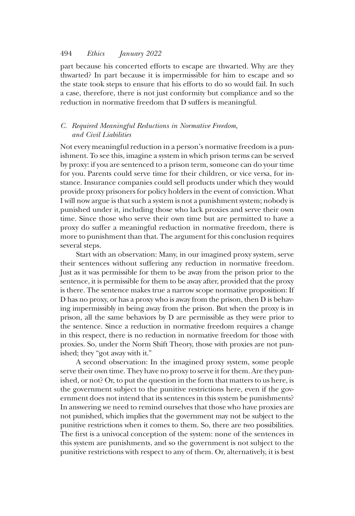part because his concerted efforts to escape are thwarted. Why are they thwarted? In part because it is impermissible for him to escape and so the state took steps to ensure that his efforts to do so would fail. In such a case, therefore, there is not just conformity but compliance and so the reduction in normative freedom that D suffers is meaningful.

# C. Required Meaningful Reductions in Normative Freedom, and Civil Liabilities

Not every meaningful reduction in a person's normative freedom is a punishment. To see this, imagine a system in which prison terms can be served by proxy: if you are sentenced to a prison term, someone can do your time for you. Parents could serve time for their children, or vice versa, for instance. Insurance companies could sell products under which they would provide proxy prisoners for policy holders in the event of conviction. What I will now argue is that such a system is not a punishment system; nobody is punished under it, including those who lack proxies and serve their own time. Since those who serve their own time but are permitted to have a proxy do suffer a meaningful reduction in normative freedom, there is more to punishment than that. The argument for this conclusion requires several steps.

Start with an observation: Many, in our imagined proxy system, serve their sentences without suffering any reduction in normative freedom. Just as it was permissible for them to be away from the prison prior to the sentence, it is permissible for them to be away after, provided that the proxy is there. The sentence makes true a narrow scope normative proposition: If D has no proxy, or has a proxy who is away from the prison, then D is behaving impermissibly in being away from the prison. But when the proxy is in prison, all the same behaviors by D are permissible as they were prior to the sentence. Since a reduction in normative freedom requires a change in this respect, there is no reduction in normative freedom for those with proxies. So, under the Norm Shift Theory, those with proxies are not punished; they "got away with it."

A second observation: In the imagined proxy system, some people serve their own time. They have no proxy to serve it for them. Are they punished, or not? Or, to put the question in the form that matters to us here, is the government subject to the punitive restrictions here, even if the government does not intend that its sentences in this system be punishments? In answering we need to remind ourselves that those who have proxies are not punished, which implies that the government may not be subject to the punitive restrictions when it comes to them. So, there are two possibilities. The first is a univocal conception of the system: none of the sentences in this system are punishments, and so the government is not subject to the punitive restrictions with respect to any of them. Or, alternatively, it is best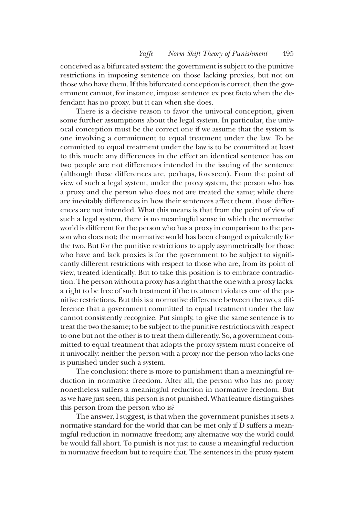conceived as a bifurcated system: the government is subject to the punitive restrictions in imposing sentence on those lacking proxies, but not on those who have them. If this bifurcated conception is correct, then the government cannot, for instance, impose sentence ex post facto when the defendant has no proxy, but it can when she does.

There is a decisive reason to favor the univocal conception, given some further assumptions about the legal system. In particular, the univocal conception must be the correct one if we assume that the system is one involving a commitment to equal treatment under the law. To be committed to equal treatment under the law is to be committed at least to this much: any differences in the effect an identical sentence has on two people are not differences intended in the issuing of the sentence (although these differences are, perhaps, foreseen). From the point of view of such a legal system, under the proxy system, the person who has a proxy and the person who does not are treated the same; while there are inevitably differences in how their sentences affect them, those differences are not intended. What this means is that from the point of view of such a legal system, there is no meaningful sense in which the normative world is different for the person who has a proxy in comparison to the person who does not; the normative world has been changed equivalently for the two. But for the punitive restrictions to apply asymmetrically for those who have and lack proxies is for the government to be subject to significantly different restrictions with respect to those who are, from its point of view, treated identically. But to take this position is to embrace contradiction. The person without a proxy has a right that the one with a proxy lacks: a right to be free of such treatment if the treatment violates one of the punitive restrictions. But this is a normative difference between the two, a difference that a government committed to equal treatment under the law cannot consistently recognize. Put simply, to give the same sentence is to treat the two the same; to be subject to the punitive restrictions with respect to one but not the other is to treat them differently. So, a government committed to equal treatment that adopts the proxy system must conceive of it univocally: neither the person with a proxy nor the person who lacks one is punished under such a system.

The conclusion: there is more to punishment than a meaningful reduction in normative freedom. After all, the person who has no proxy nonetheless suffers a meaningful reduction in normative freedom. But as we have just seen, this person is not punished.What feature distinguishes this person from the person who is?

The answer, I suggest, is that when the government punishes it sets a normative standard for the world that can be met only if D suffers a meaningful reduction in normative freedom; any alternative way the world could be would fall short. To punish is not just to cause a meaningful reduction in normative freedom but to require that. The sentences in the proxy system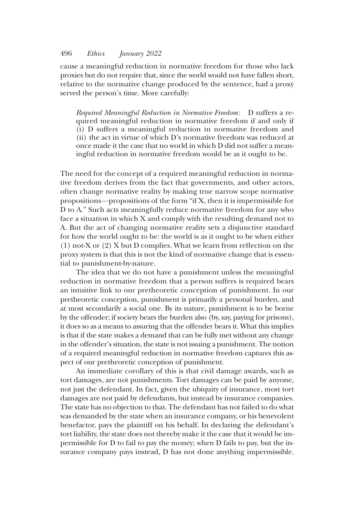cause a meaningful reduction in normative freedom for those who lack proxies but do not require that, since the world would not have fallen short, relative to the normative change produced by the sentence, had a proxy served the person's time. More carefully:

Required Meaningful Reduction in Normative Freedom: D suffers a required meaningful reduction in normative freedom if and only if (i) D suffers a meaningful reduction in normative freedom and (ii) the act in virtue of which D's normative freedom was reduced at once made it the case that no world in which D did not suffer a meaningful reduction in normative freedom would be as it ought to be.

The need for the concept of a required meaningful reduction in normative freedom derives from the fact that governments, and other actors, often change normative reality by making true narrow scope normative propositions—propositions of the form "if X, then it is impermissible for D to A." Such acts meaningfully reduce normative freedom for any who face a situation in which X and comply with the resulting demand not to A. But the act of changing normative reality sets a disjunctive standard for how the world ought to be: the world is as it ought to be when either (1) not-X or (2) X but D complies. What we learn from reflection on the proxy system is that this is not the kind of normative change that is essential to punishment-by-nature.

The idea that we do not have a punishment unless the meaningful reduction in normative freedom that a person suffers is required bears an intuitive link to our pretheoretic conception of punishment. In our pretheoretic conception, punishment is primarily a personal burden, and at most secondarily a social one. By its nature, punishment is to be borne by the offender; if society bears the burden also (by, say, paying for prisons), it does so as a means to assuring that the offender bears it. What this implies is that if the state makes a demand that can be fully met without any change in the offender's situation, the state is not issuing a punishment. The notion of a required meaningful reduction in normative freedom captures this aspect of our pretheoretic conception of punishment.

An immediate corollary of this is that civil damage awards, such as tort damages, are not punishments. Tort damages can be paid by anyone, not just the defendant. In fact, given the ubiquity of insurance, most tort damages are not paid by defendants, but instead by insurance companies. The state has no objection to that. The defendant has not failed to do what was demanded by the state when an insurance company, or his benevolent benefactor, pays the plaintiff on his behalf. In declaring the defendant's tort liability, the state does not thereby make it the case that it would be impermissible for D to fail to pay the money; when D fails to pay, but the insurance company pays instead, D has not done anything impermissible.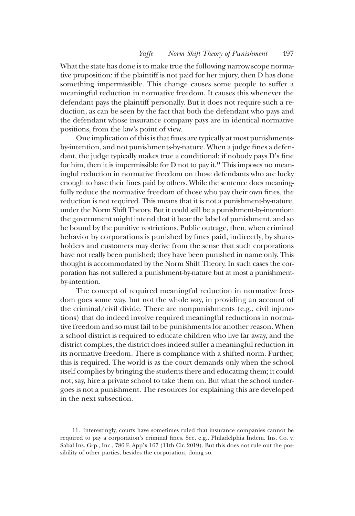What the state has done is to make true the following narrow scope normative proposition: if the plaintiff is not paid for her injury, then D has done something impermissible. This change causes some people to suffer a meaningful reduction in normative freedom. It causes this whenever the defendant pays the plaintiff personally. But it does not require such a reduction, as can be seen by the fact that both the defendant who pays and the defendant whose insurance company pays are in identical normative positions, from the law's point of view.

One implication of this is that fines are typically at most punishmentsby-intention, and not punishments-by-nature. When a judge fines a defendant, the judge typically makes true a conditional: if nobody pays D's fine for him, then it is impermissible for  $D$  not to pay it.<sup>11</sup> This imposes no meaningful reduction in normative freedom on those defendants who are lucky enough to have their fines paid by others. While the sentence does meaningfully reduce the normative freedom of those who pay their own fines, the reduction is not required. This means that it is not a punishment-by-nature, under the Norm Shift Theory. But it could still be a punishment-by-intention: the government might intend that it bear the label of punishment, and so be bound by the punitive restrictions. Public outrage, then, when criminal behavior by corporations is punished by fines paid, indirectly, by shareholders and customers may derive from the sense that such corporations have not really been punished; they have been punished in name only. This thought is accommodated by the Norm Shift Theory. In such cases the corporation has not suffered a punishment-by-nature but at most a punishmentby-intention.

The concept of required meaningful reduction in normative freedom goes some way, but not the whole way, in providing an account of the criminal/civil divide. There are nonpunishments (e.g., civil injunctions) that do indeed involve required meaningful reductions in normative freedom and so must fail to be punishments for another reason. When a school district is required to educate children who live far away, and the district complies, the district does indeed suffer a meaningful reduction in its normative freedom. There is compliance with a shifted norm. Further, this is required. The world is as the court demands only when the school itself complies by bringing the students there and educating them; it could not, say, hire a private school to take them on. But what the school undergoes is not a punishment. The resources for explaining this are developed in the next subsection.

11. Interestingly, courts have sometimes ruled that insurance companies cannot be required to pay a corporation's criminal fines. See, e.g., Philadelphia Indem. Ins. Co. v. Sabal Ins. Grp., Inc., 786 F. App'x 167 (11th Cir. 2019). But this does not rule out the possibility of other parties, besides the corporation, doing so.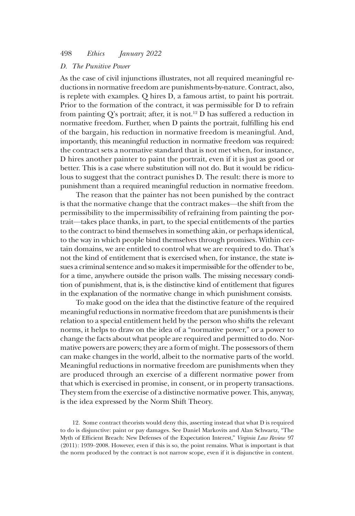# D. The Punitive Power

As the case of civil injunctions illustrates, not all required meaningful reductions in normative freedom are punishments-by-nature. Contract, also, is replete with examples. Q hires D, a famous artist, to paint his portrait. Prior to the formation of the contract, it was permissible for D to refrain from painting Q's portrait; after, it is not.<sup>12</sup> D has suffered a reduction in normative freedom. Further, when D paints the portrait, fulfilling his end of the bargain, his reduction in normative freedom is meaningful. And, importantly, this meaningful reduction in normative freedom was required: the contract sets a normative standard that is not met when, for instance, D hires another painter to paint the portrait, even if it is just as good or better. This is a case where substitution will not do. But it would be ridiculous to suggest that the contract punishes D. The result: there is more to punishment than a required meaningful reduction in normative freedom.

The reason that the painter has not been punished by the contract is that the normative change that the contract makes—the shift from the permissibility to the impermissibility of refraining from painting the portrait—takes place thanks, in part, to the special entitlements of the parties to the contract to bind themselves in something akin, or perhaps identical, to the way in which people bind themselves through promises. Within certain domains, we are entitled to control what we are required to do. That's not the kind of entitlement that is exercised when, for instance, the state issues a criminal sentence and so makes it impermissible for the offender to be, for a time, anywhere outside the prison walls. The missing necessary condition of punishment, that is, is the distinctive kind of entitlement that figures in the explanation of the normative change in which punishment consists.

To make good on the idea that the distinctive feature of the required meaningful reductions in normative freedom that are punishments is their relation to a special entitlement held by the person who shifts the relevant norms, it helps to draw on the idea of a "normative power," or a power to change the facts about what people are required and permitted to do. Normative powers are powers; they are a form of might. The possessors of them can make changes in the world, albeit to the normative parts of the world. Meaningful reductions in normative freedom are punishments when they are produced through an exercise of a different normative power from that which is exercised in promise, in consent, or in property transactions. They stem from the exercise of a distinctive normative power. This, anyway, is the idea expressed by the Norm Shift Theory.

12. Some contract theorists would deny this, asserting instead that what D is required to do is disjunctive: paint or pay damages. See Daniel Markovits and Alan Schwartz, "The Myth of Efficient Breach: New Defenses of the Expectation Interest," Virginia Law Review 97 (2011): 1939–2008. However, even if this is so, the point remains. What is important is that the norm produced by the contract is not narrow scope, even if it is disjunctive in content.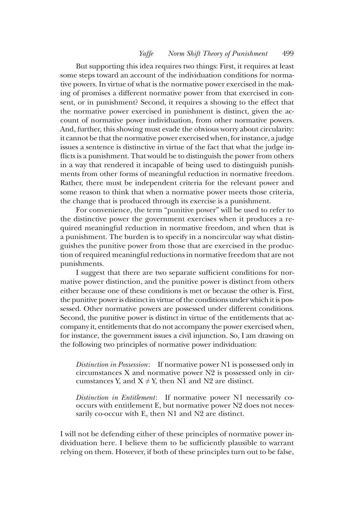But supporting this idea requires two things: First, it requires at least some steps toward an account of the individuation conditions for normative powers. In virtue of what is the normative power exercised in the making of promises a different normative power from that exercised in consent, or in punishment? Second, it requires a showing to the effect that the normative power exercised in punishment is distinct, given the account of normative power individuation, from other normative powers. And, further, this showing must evade the obvious worry about circularity: it cannot be that the normative power exercised when, for instance, a judge issues a sentence is distinctive in virtue of the fact that what the judge inflicts is a punishment. That would be to distinguish the power from others in a way that rendered it incapable of being used to distinguish punishments from other forms of meaningful reduction in normative freedom. Rather, there must be independent criteria for the relevant power and some reason to think that when a normative power meets those criteria, the change that is produced through its exercise is a punishment.

For convenience, the term "punitive power" will be used to refer to the distinctive power the government exercises when it produces a required meaningful reduction in normative freedom, and when that is a punishment. The burden is to specify in a noncircular way what distinguishes the punitive power from those that are exercised in the production of required meaningful reductions in normative freedom that are not punishments.

I suggest that there are two separate sufficient conditions for normative power distinction, and the punitive power is distinct from others either because one of these conditions is met or because the other is. First, the punitive power is distinct in virtue of the conditions under which it is possessed. Other normative powers are possessed under different conditions. Second, the punitive power is distinct in virtue of the entitlements that accompany it, entitlements that do not accompany the power exercised when, for instance, the government issues a civil injunction. So, I am drawing on the following two principles of normative power individuation:

Distinction in Possession: If normative power N1 is possessed only in circumstances X and normative power N2 is possessed only in circumstances Y, and  $X \neq Y$ , then N1 and N2 are distinct.

Distinction in Entitlement: If normative power N1 necessarily cooccurs with entitlement E, but normative power N2 does not necessarily co-occur with E, then N1 and N2 are distinct.

I will not be defending either of these principles of normative power individuation here. I believe them to be sufficiently plausible to warrant relying on them. However, if both of these principles turn out to be false,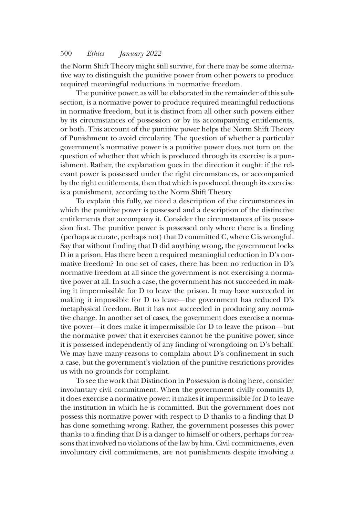the Norm Shift Theory might still survive, for there may be some alternative way to distinguish the punitive power from other powers to produce required meaningful reductions in normative freedom.

The punitive power, as will be elaborated in the remainder of this subsection, is a normative power to produce required meaningful reductions in normative freedom, but it is distinct from all other such powers either by its circumstances of possession or by its accompanying entitlements, or both. This account of the punitive power helps the Norm Shift Theory of Punishment to avoid circularity. The question of whether a particular government's normative power is a punitive power does not turn on the question of whether that which is produced through its exercise is a punishment. Rather, the explanation goes in the direction it ought: if the relevant power is possessed under the right circumstances, or accompanied by the right entitlements, then that which is produced through its exercise is a punishment, according to the Norm Shift Theory.

To explain this fully, we need a description of the circumstances in which the punitive power is possessed and a description of the distinctive entitlements that accompany it. Consider the circumstances of its possession first. The punitive power is possessed only where there is a finding (perhaps accurate, perhaps not) that D committed C, where C is wrongful. Say that without finding that D did anything wrong, the government locks D in a prison. Has there been a required meaningful reduction in D's normative freedom? In one set of cases, there has been no reduction in D's normative freedom at all since the government is not exercising a normative power at all. In such a case, the government has not succeeded in making it impermissible for D to leave the prison. It may have succeeded in making it impossible for D to leave—the government has reduced D's metaphysical freedom. But it has not succeeded in producing any normative change. In another set of cases, the government does exercise a normative power—it does make it impermissible for D to leave the prison—but the normative power that it exercises cannot be the punitive power, since it is possessed independently of any finding of wrongdoing on D's behalf. We may have many reasons to complain about D's confinement in such a case, but the government's violation of the punitive restrictions provides us with no grounds for complaint.

To see the work that Distinction in Possession is doing here, consider involuntary civil commitment. When the government civilly commits D, it does exercise a normative power: it makes it impermissible for D to leave the institution in which he is committed. But the government does not possess this normative power with respect to D thanks to a finding that D has done something wrong. Rather, the government possesses this power thanks to a finding that D is a danger to himself or others, perhaps for reasons that involved no violations of the law by him. Civil commitments, even involuntary civil commitments, are not punishments despite involving a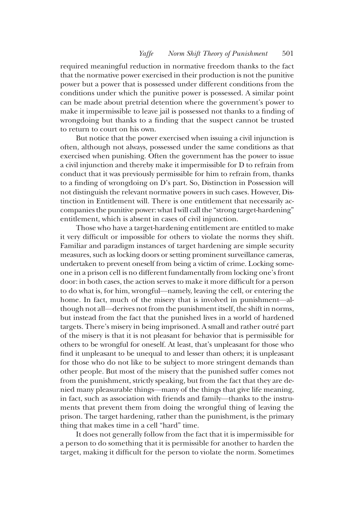required meaningful reduction in normative freedom thanks to the fact that the normative power exercised in their production is not the punitive power but a power that is possessed under different conditions from the conditions under which the punitive power is possessed. A similar point can be made about pretrial detention where the government's power to make it impermissible to leave jail is possessed not thanks to a finding of wrongdoing but thanks to a finding that the suspect cannot be trusted to return to court on his own.

But notice that the power exercised when issuing a civil injunction is often, although not always, possessed under the same conditions as that exercised when punishing. Often the government has the power to issue a civil injunction and thereby make it impermissible for D to refrain from conduct that it was previously permissible for him to refrain from, thanks to a finding of wrongdoing on D's part. So, Distinction in Possession will not distinguish the relevant normative powers in such cases. However, Distinction in Entitlement will. There is one entitlement that necessarily accompanies the punitive power: what I will call the "strong target-hardening" entitlement, which is absent in cases of civil injunction.

Those who have a target-hardening entitlement are entitled to make it very difficult or impossible for others to violate the norms they shift. Familiar and paradigm instances of target hardening are simple security measures, such as locking doors or setting prominent surveillance cameras, undertaken to prevent oneself from being a victim of crime. Locking someone in a prison cell is no different fundamentally from locking one's front door: in both cases, the action serves to make it more difficult for a person to do what is, for him, wrongful—namely, leaving the cell, or entering the home. In fact, much of the misery that is involved in punishment—although not all—derives not from the punishment itself, the shift in norms, but instead from the fact that the punished lives in a world of hardened targets. There's misery in being imprisoned. A small and rather outré part of the misery is that it is not pleasant for behavior that is permissible for others to be wrongful for oneself. At least, that's unpleasant for those who find it unpleasant to be unequal to and lesser than others; it is unpleasant for those who do not like to be subject to more stringent demands than other people. But most of the misery that the punished suffer comes not from the punishment, strictly speaking, but from the fact that they are denied many pleasurable things—many of the things that give life meaning, in fact, such as association with friends and family—thanks to the instruments that prevent them from doing the wrongful thing of leaving the prison. The target hardening, rather than the punishment, is the primary thing that makes time in a cell "hard" time.

It does not generally follow from the fact that it is impermissible for a person to do something that it is permissible for another to harden the target, making it difficult for the person to violate the norm. Sometimes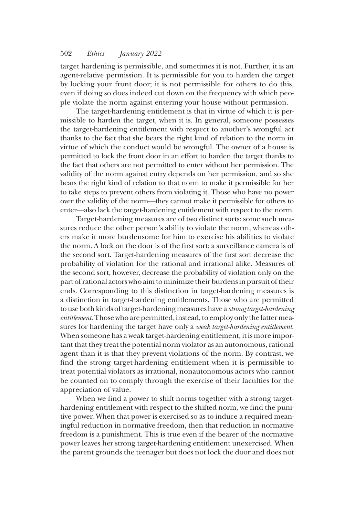target hardening is permissible, and sometimes it is not. Further, it is an agent-relative permission. It is permissible for you to harden the target by locking your front door; it is not permissible for others to do this, even if doing so does indeed cut down on the frequency with which people violate the norm against entering your house without permission.

The target-hardening entitlement is that in virtue of which it is permissible to harden the target, when it is. In general, someone possesses the target-hardening entitlement with respect to another's wrongful act thanks to the fact that she bears the right kind of relation to the norm in virtue of which the conduct would be wrongful. The owner of a house is permitted to lock the front door in an effort to harden the target thanks to the fact that others are not permitted to enter without her permission. The validity of the norm against entry depends on her permission, and so she bears the right kind of relation to that norm to make it permissible for her to take steps to prevent others from violating it. Those who have no power over the validity of the norm—they cannot make it permissible for others to enter—also lack the target-hardening entitlement with respect to the norm.

Target-hardening measures are of two distinct sorts: some such measures reduce the other person's ability to violate the norm, whereas others make it more burdensome for him to exercise his abilities to violate the norm. A lock on the door is of the first sort; a surveillance camera is of the second sort. Target-hardening measures of the first sort decrease the probability of violation for the rational and irrational alike. Measures of the second sort, however, decrease the probability of violation only on the part of rational actors who aim tominimize their burdens in pursuit of their ends. Corresponding to this distinction in target-hardening measures is a distinction in target-hardening entitlements. Those who are permitted to use both kinds of target-hardening measures have a strong target-hardening entitlement. Those who are permitted, instead, to employ only the latter measures for hardening the target have only a weak target-hardening entitlement. When someone has a weak target-hardening entitlement, it is more important that they treat the potential norm violator as an autonomous, rational agent than it is that they prevent violations of the norm. By contrast, we find the strong target-hardening entitlement when it is permissible to treat potential violators as irrational, nonautonomous actors who cannot be counted on to comply through the exercise of their faculties for the appreciation of value.

When we find a power to shift norms together with a strong targethardening entitlement with respect to the shifted norm, we find the punitive power. When that power is exercised so as to induce a required meaningful reduction in normative freedom, then that reduction in normative freedom is a punishment. This is true even if the bearer of the normative power leaves her strong target-hardening entitlement unexercised. When the parent grounds the teenager but does not lock the door and does not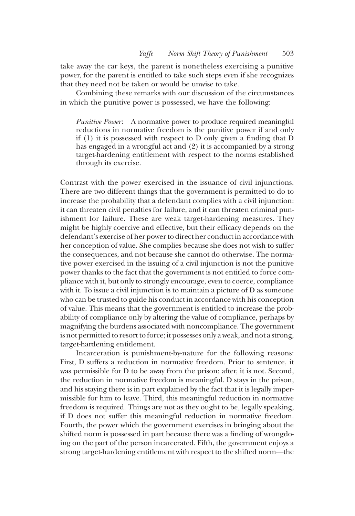take away the car keys, the parent is nonetheless exercising a punitive power, for the parent is entitled to take such steps even if she recognizes that they need not be taken or would be unwise to take.

Combining these remarks with our discussion of the circumstances in which the punitive power is possessed, we have the following:

Punitive Power: A normative power to produce required meaningful reductions in normative freedom is the punitive power if and only if (1) it is possessed with respect to D only given a finding that D has engaged in a wrongful act and (2) it is accompanied by a strong target-hardening entitlement with respect to the norms established through its exercise.

Contrast with the power exercised in the issuance of civil injunctions. There are two different things that the government is permitted to do to increase the probability that a defendant complies with a civil injunction: it can threaten civil penalties for failure, and it can threaten criminal punishment for failure. These are weak target-hardening measures. They might be highly coercive and effective, but their efficacy depends on the defendant's exercise of her power to direct her conduct in accordance with her conception of value. She complies because she does not wish to suffer the consequences, and not because she cannot do otherwise. The normative power exercised in the issuing of a civil injunction is not the punitive power thanks to the fact that the government is not entitled to force compliance with it, but only to strongly encourage, even to coerce, compliance with it. To issue a civil injunction is to maintain a picture of D as someone who can be trusted to guide his conduct in accordance with his conception of value. This means that the government is entitled to increase the probability of compliance only by altering the value of compliance, perhaps by magnifying the burdens associated with noncompliance. The government is not permitted to resort to force; it possesses only a weak, and not a strong, target-hardening entitlement.

Incarceration is punishment-by-nature for the following reasons: First, D suffers a reduction in normative freedom. Prior to sentence, it was permissible for D to be away from the prison; after, it is not. Second, the reduction in normative freedom is meaningful. D stays in the prison, and his staying there is in part explained by the fact that it is legally impermissible for him to leave. Third, this meaningful reduction in normative freedom is required. Things are not as they ought to be, legally speaking, if D does not suffer this meaningful reduction in normative freedom. Fourth, the power which the government exercises in bringing about the shifted norm is possessed in part because there was a finding of wrongdoing on the part of the person incarcerated. Fifth, the government enjoys a strong target-hardening entitlement with respect to the shifted norm—the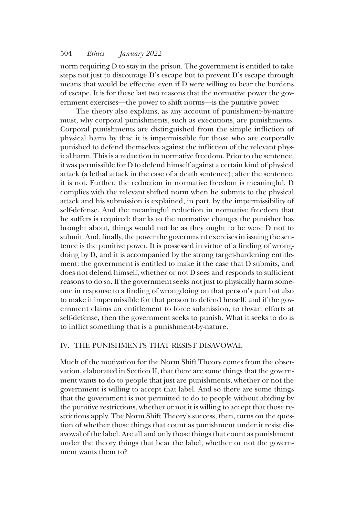norm requiring D to stay in the prison. The government is entitled to take steps not just to discourage D's escape but to prevent D's escape through means that would be effective even if D were willing to bear the burdens of escape. It is for these last two reasons that the normative power the government exercises—the power to shift norms—is the punitive power.

The theory also explains, as any account of punishment-by-nature must, why corporal punishments, such as executions, are punishments. Corporal punishments are distinguished from the simple infliction of physical harm by this: it is impermissible for those who are corporally punished to defend themselves against the infliction of the relevant physical harm. This is a reduction in normative freedom. Prior to the sentence, it was permissible for D to defend himself against a certain kind of physical attack (a lethal attack in the case of a death sentence); after the sentence, it is not. Further, the reduction in normative freedom is meaningful. D complies with the relevant shifted norm when he submits to the physical attack and his submission is explained, in part, by the impermissibility of self-defense. And the meaningful reduction in normative freedom that he suffers is required: thanks to the normative changes the punisher has brought about, things would not be as they ought to be were D not to submit. And, finally, the power the government exercises in issuing the sentence is the punitive power. It is possessed in virtue of a finding of wrongdoing by D, and it is accompanied by the strong target-hardening entitlement: the government is entitled to make it the case that D submits, and does not defend himself, whether or not D sees and responds to sufficient reasons to do so. If the government seeks not just to physically harm someone in response to a finding of wrongdoing on that person's part but also to make it impermissible for that person to defend herself, and if the government claims an entitlement to force submission, to thwart efforts at self-defense, then the government seeks to punish. What it seeks to do is to inflict something that is a punishment-by-nature.

# IV. THE PUNISHMENTS THAT RESIST DISAVOWAL

Much of the motivation for the Norm Shift Theory comes from the observation, elaborated in Section II, that there are some things that the government wants to do to people that just are punishments, whether or not the government is willing to accept that label. And so there are some things that the government is not permitted to do to people without abiding by the punitive restrictions, whether or not it is willing to accept that those restrictions apply. The Norm Shift Theory's success, then, turns on the question of whether those things that count as punishment under it resist disavowal of the label. Are all and only those things that count as punishment under the theory things that bear the label, whether or not the government wants them to?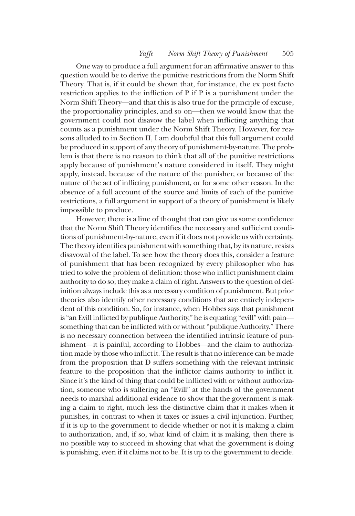One way to produce a full argument for an affirmative answer to this question would be to derive the punitive restrictions from the Norm Shift Theory. That is, if it could be shown that, for instance, the ex post facto restriction applies to the infliction of P if P is a punishment under the Norm Shift Theory—and that this is also true for the principle of excuse, the proportionality principles, and so on—then we would know that the government could not disavow the label when inflicting anything that counts as a punishment under the Norm Shift Theory. However, for reasons alluded to in Section II, I am doubtful that this full argument could be produced in support of any theory of punishment-by-nature. The problem is that there is no reason to think that all of the punitive restrictions apply because of punishment's nature considered in itself. They might apply, instead, because of the nature of the punisher, or because of the nature of the act of inflicting punishment, or for some other reason. In the absence of a full account of the source and limits of each of the punitive restrictions, a full argument in support of a theory of punishment is likely impossible to produce.

However, there is a line of thought that can give us some confidence that the Norm Shift Theory identifies the necessary and sufficient conditions of punishment-by-nature, even if it does not provide us with certainty. The theory identifies punishment with something that, by its nature, resists disavowal of the label. To see how the theory does this, consider a feature of punishment that has been recognized by every philosopher who has tried to solve the problem of definition: those who inflict punishment claim authority to do so; they make a claim of right. Answers to the question of definition always include this as a necessary condition of punishment. But prior theories also identify other necessary conditions that are entirely independent of this condition. So, for instance, when Hobbes says that punishment is "an Evill inflicted by publique Authority," he is equating "evill" with painsomething that can be inflicted with or without"publique Authority." There is no necessary connection between the identified intrinsic feature of punishment—it is painful, according to Hobbes—and the claim to authorization made by those who inflict it. The result is that no inference can be made from the proposition that D suffers something with the relevant intrinsic feature to the proposition that the inflictor claims authority to inflict it. Since it's the kind of thing that could be inflicted with or without authorization, someone who is suffering an "Evill" at the hands of the government needs to marshal additional evidence to show that the government is making a claim to right, much less the distinctive claim that it makes when it punishes, in contrast to when it taxes or issues a civil injunction. Further, if it is up to the government to decide whether or not it is making a claim to authorization, and, if so, what kind of claim it is making, then there is no possible way to succeed in showing that what the government is doing is punishing, even if it claims not to be. It is up to the government to decide.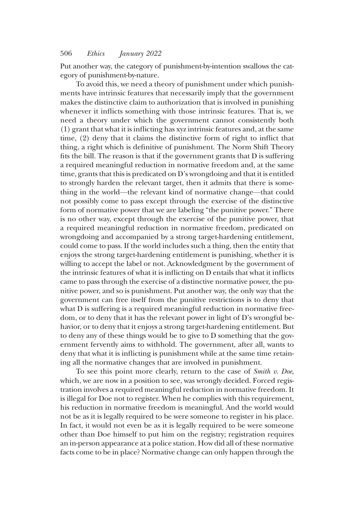Put another way, the category of punishment-by-intention swallows the category of punishment-by-nature.

To avoid this, we need a theory of punishment under which punishments have intrinsic features that necessarily imply that the government makes the distinctive claim to authorization that is involved in punishing whenever it inflicts something with those intrinsic features. That is, we need a theory under which the government cannot consistently both (1) grant that what it is inflicting has xyz intrinsic features and, at the same time, (2) deny that it claims the distinctive form of right to inflict that thing, a right which is definitive of punishment. The Norm Shift Theory fits the bill. The reason is that if the government grants that D is suffering a required meaningful reduction in normative freedom and, at the same time, grants that this is predicated on D's wrongdoing and that it is entitled to strongly harden the relevant target, then it admits that there is something in the world—the relevant kind of normative change—that could not possibly come to pass except through the exercise of the distinctive form of normative power that we are labeling "the punitive power." There is no other way, except through the exercise of the punitive power, that a required meaningful reduction in normative freedom, predicated on wrongdoing and accompanied by a strong target-hardening entitlement, could come to pass. If the world includes such a thing, then the entity that enjoys the strong target-hardening entitlement is punishing, whether it is willing to accept the label or not. Acknowledgment by the government of the intrinsic features of what it is inflicting on D entails that what it inflicts came to pass through the exercise of a distinctive normative power, the punitive power, and so is punishment. Put another way, the only way that the government can free itself from the punitive restrictions is to deny that what D is suffering is a required meaningful reduction in normative freedom, or to deny that it has the relevant power in light of D's wrongful behavior, or to deny that it enjoys a strong target-hardening entitlement. But to deny any of these things would be to give to D something that the government fervently aims to withhold. The government, after all, wants to deny that what it is inflicting is punishment while at the same time retaining all the normative changes that are involved in punishment.

To see this point more clearly, return to the case of Smith v. Doe, which, we are now in a position to see, was wrongly decided. Forced registration involves a required meaningful reduction in normative freedom. It is illegal for Doe not to register. When he complies with this requirement, his reduction in normative freedom is meaningful. And the world would not be as it is legally required to be were someone to register in his place. In fact, it would not even be as it is legally required to be were someone other than Doe himself to put him on the registry; registration requires an in-person appearance at a police station. How did all of these normative facts come to be in place? Normative change can only happen through the